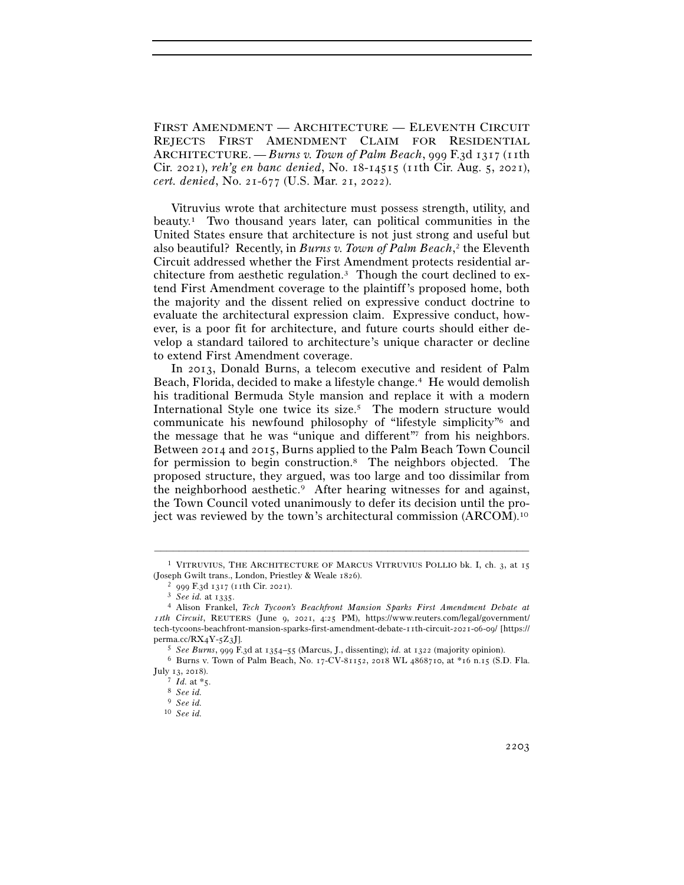FIRST AMENDMENT — ARCHITECTURE — ELEVENTH CIRCUIT REJECTS FIRST AMENDMENT CLAIM FOR RESIDENTIAL ARCHITECTURE. — *Burns v. Town of Palm Beach*, 999 F.3d 1317 (11th Cir. 2021), *reh'g en banc denied*, No. 18-14515 (11th Cir. Aug. 5, 2021), *cert. denied*, No. 21-677 (U.S. Mar. 21, 2022).

Vitruvius wrote that architecture must possess strength, utility, and beauty.1 Two thousand years later, can political communities in the United States ensure that architecture is not just strong and useful but also beautiful? Recently, in *Burns v. Town of Palm Beach*, 2 the Eleventh Circuit addressed whether the First Amendment protects residential architecture from aesthetic regulation.3 Though the court declined to extend First Amendment coverage to the plaintiff's proposed home, both the majority and the dissent relied on expressive conduct doctrine to evaluate the architectural expression claim. Expressive conduct, however, is a poor fit for architecture, and future courts should either develop a standard tailored to architecture's unique character or decline to extend First Amendment coverage.

In 2013, Donald Burns, a telecom executive and resident of Palm Beach, Florida, decided to make a lifestyle change.4 He would demolish his traditional Bermuda Style mansion and replace it with a modern International Style one twice its size.<sup>5</sup> The modern structure would communicate his newfound philosophy of "lifestyle simplicity"6 and the message that he was "unique and different"7 from his neighbors. Between 2014 and 2015, Burns applied to the Palm Beach Town Council for permission to begin construction.8 The neighbors objected. The proposed structure, they argued, was too large and too dissimilar from the neighborhood aesthetic.9 After hearing witnesses for and against, the Town Council voted unanimously to defer its decision until the project was reviewed by the town's architectural commission (ARCOM).10

<sup>–––––––––––––––––––––––––––––––––––––––––––––––––––––––––––––</sup> <sup>1</sup> VITRUVIUS, THE ARCHITECTURE OF MARCUS VITRUVIUS POLLIO bk. I, ch.  $3$ , at 15 (Joseph Gwilt trans., London, Priestley & Weale <sup>1826</sup>). 2 <sup>999</sup> F.3d 1317 (11th Cir. <sup>2021</sup>). 3 *See id.* at <sup>1335</sup>. 4 Alison Frankel, *Tech Tycoon's Beachfront Mansion Sparks First Amendment Debate at* 

<sup>11</sup>*th Circuit*, REUTERS (June 9, 2021, 4:25 PM), https://www.reuters.com/legal/government/ tech-tycoons-beachfront-mansion-sparks-first-amendment-debate-11th-circuit-2021-06-09/ [https:// perma.cc/RX4Y-5Z<sup>3</sup>J]. 5 *See Burns*, 999 F.3d at 1354–55 (Marcus, J., dissenting); *id.* at <sup>1322</sup> (majority opinion). 6 Burns v. Town of Palm Beach, No. 17-CV-81152, 2018 WL 4868710, at \*16 n.15 (S.D. Fla.

July 13, <sup>2018</sup>). 7 *Id.* at \*<sup>5</sup>. 8 *See id.*

<sup>9</sup> *See id.*

<sup>10</sup> *See id.*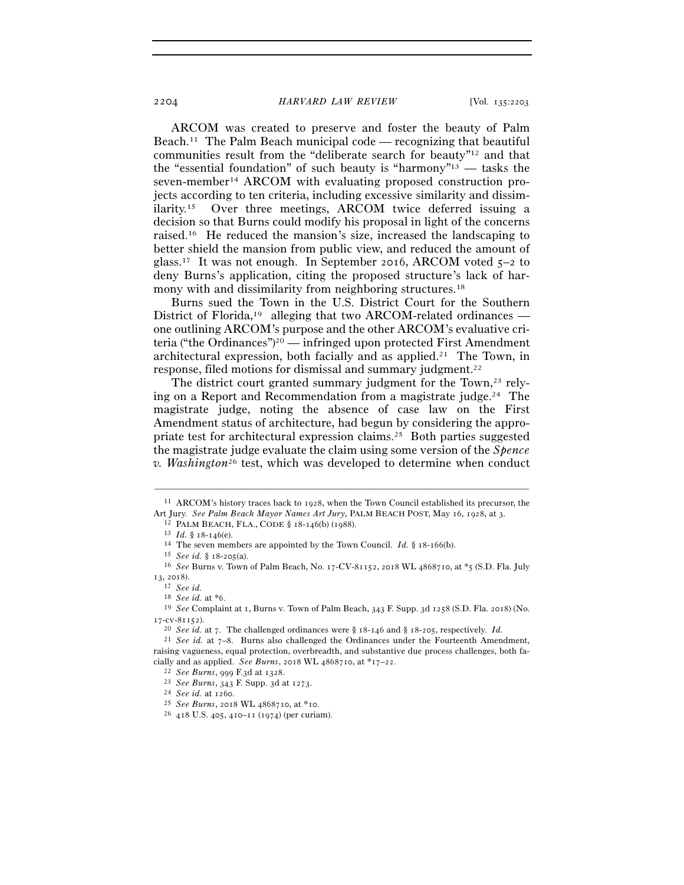ARCOM was created to preserve and foster the beauty of Palm Beach.<sup>11</sup> The Palm Beach municipal code — recognizing that beautiful communities result from the "deliberate search for beauty"12 and that the "essential foundation" of such beauty is "harmony"<sup>13</sup> — tasks the seven-member14 ARCOM with evaluating proposed construction projects according to ten criteria, including excessive similarity and dissimilarity.15 Over three meetings, ARCOM twice deferred issuing a decision so that Burns could modify his proposal in light of the concerns raised.16 He reduced the mansion's size, increased the landscaping to better shield the mansion from public view, and reduced the amount of glass.<sup>17</sup> It was not enough. In September 2016, ARCOM voted  $5-2$  to deny Burns's application, citing the proposed structure's lack of harmony with and dissimilarity from neighboring structures.<sup>18</sup>

Burns sued the Town in the U.S. District Court for the Southern District of Florida,<sup>19</sup> alleging that two ARCOM-related ordinances one outlining ARCOM's purpose and the other ARCOM's evaluative criteria ("the Ordinances")20 — infringed upon protected First Amendment architectural expression, both facially and as applied.<sup>21</sup> The Town, in response, filed motions for dismissal and summary judgment.22

The district court granted summary judgment for the Town,<sup>23</sup> relying on a Report and Recommendation from a magistrate judge.24 The magistrate judge, noting the absence of case law on the First Amendment status of architecture, had begun by considering the appropriate test for architectural expression claims.25 Both parties suggested the magistrate judge evaluate the claim using some version of the *Spence v. Washington*26 test, which was developed to determine when conduct

<sup>–––––––––––––––––––––––––––––––––––––––––––––––––––––––––––––</sup> <sup>11</sup> ARCOM's history traces back to 1928, when the Town Council established its precursor, the Art Jury. See Palm Beach Mayor Names Art Jury, PALM BEACH POST, May 16, 1928, at 3.<br>
<sup>12</sup> PALM BEACH, FLA., CODE § 18-146(b) (1988).<br>
<sup>13</sup> Id. § 18-146(e).<br>
<sup>14</sup> The seven members are appointed by the Town Council. Id. §

<sup>13</sup>, <sup>2018</sup>). 17 *See id.*

<sup>18</sup> *See id.* at \*<sup>6</sup>. 19 *See* Complaint at 1, Burns v. Town of Palm Beach, 343 F. Supp. 3d 1258 (S.D. Fla. 2018) (No. <sup>17</sup>-cv-<sup>81152</sup>). 20 *See id.* at 7. The challenged ordinances were § <sup>18</sup>-146 and § <sup>18</sup>-205, respectively. *Id.*<sup>21</sup> *See id.* at 7–8. Burns also challenged the Ordinances under the Fourteenth Amendment,

raising vagueness, equal protection, overbreadth, and substantive due process challenges, both facially and as applied. See Burns, 2018 WL 4868710, at \*17-22.<br>
<sup>22</sup> See Burns, 999 F.3d at 1328.<br>
<sup>23</sup> See Burns, 343 F. Supp. 3d at 1273.<br>
<sup>24</sup> See id. at 1260.<br>
<sup>25</sup> See Burns, 2018 WL 4868710, at \*10.<br>
<sup>26</sup> 418 U.S. 40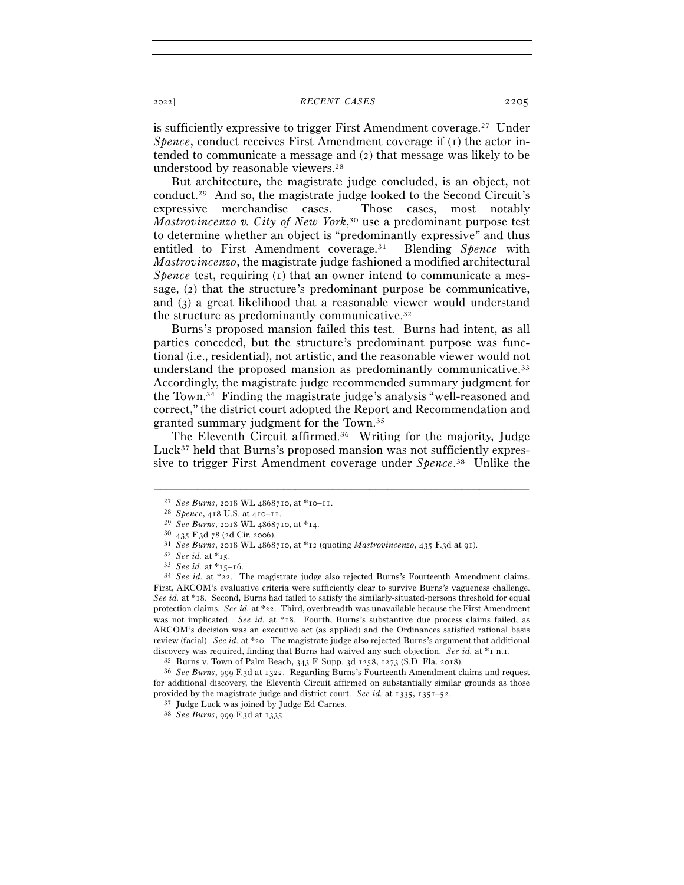<sup>2022</sup>] *RECENT CASES* 2205

is sufficiently expressive to trigger First Amendment coverage.27 Under *Spence*, conduct receives First Amendment coverage if (1) the actor intended to communicate a message and (2) that message was likely to be understood by reasonable viewers.28

But architecture, the magistrate judge concluded, is an object, not conduct.29 And so, the magistrate judge looked to the Second Circuit's expressive merchandise cases. Those cases, most notably *Mastrovincenzo v. City of New York*, 30 use a predominant purpose test to determine whether an object is "predominantly expressive" and thus entitled to First Amendment coverage.31 Blending *Spence* with *Mastrovincenzo*, the magistrate judge fashioned a modified architectural *Spence* test, requiring (1) that an owner intend to communicate a message, (2) that the structure's predominant purpose be communicative, and (3) a great likelihood that a reasonable viewer would understand the structure as predominantly communicative.32

Burns's proposed mansion failed this test. Burns had intent, as all parties conceded, but the structure's predominant purpose was functional (i.e., residential), not artistic, and the reasonable viewer would not understand the proposed mansion as predominantly communicative.<sup>33</sup> Accordingly, the magistrate judge recommended summary judgment for the Town.34 Finding the magistrate judge's analysis "well-reasoned and correct," the district court adopted the Report and Recommendation and granted summary judgment for the Town.35

The Eleventh Circuit affirmed.<sup>36</sup> Writing for the majority, Judge Luck<sup>37</sup> held that Burns's proposed mansion was not sufficiently expressive to trigger First Amendment coverage under *Spence*. 38 Unlike the

<sup>&</sup>lt;sup>27</sup> See Burns, 2018 WL 4868710, at \*10–11.<br>
<sup>28</sup> Spence, 418 U.S. at 410–11.<br>
<sup>29</sup> See Burns, 2018 WL 4868710, at \*14.<br>
<sup>30</sup> 435 F.3d 78 (2d Cir. 2006).<br>
<sup>31</sup> See Burns, 2018 WL 4868710, at \*12 (quoting *Mastrovincenzo*, First, ARCOM's evaluative criteria were sufficiently clear to survive Burns's vagueness challenge. *See id.* at \*18. Second, Burns had failed to satisfy the similarly-situated-persons threshold for equal protection claims. *See id.* at \*22. Third, overbreadth was unavailable because the First Amendment was not implicated. *See id.* at \*18. Fourth, Burns's substantive due process claims failed, as ARCOM's decision was an executive act (as applied) and the Ordinances satisfied rational basis review (facial). *See id.* at \*20. The magistrate judge also rejected Burns's argument that additional discovery was required, finding that Burns had waived any such objection. See id. at  $*$  n. n. 35 Burns v. Town of Palm Beach, 343 F. Supp. 3d 1258, 1273 (S.D. Fla. 2018).<br><sup>35</sup> See Burns, 999 F.3d at 1322. Regarding Burns

for additional discovery, the Eleventh Circuit affirmed on substantially similar grounds as those provided by the magistrate judge and district court. *See id.* at 1335, 1351–<sup>52</sup>. 37 Judge Luck was joined by Judge Ed Carnes. 38 *See Burns*, 999 F.3d at 1335.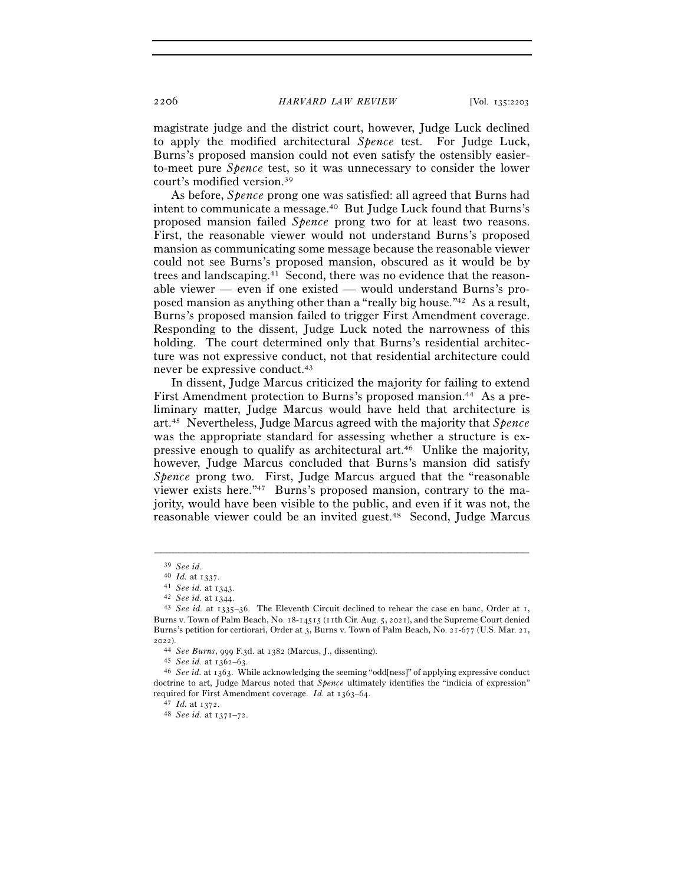2206 *HARVARD LAW REVIEW* [Vol. 135:<sup>2203</sup>

magistrate judge and the district court, however, Judge Luck declined to apply the modified architectural *Spence* test. For Judge Luck, Burns's proposed mansion could not even satisfy the ostensibly easierto-meet pure *Spence* test, so it was unnecessary to consider the lower court's modified version.39

As before, *Spence* prong one was satisfied: all agreed that Burns had intent to communicate a message.40 But Judge Luck found that Burns's proposed mansion failed *Spence* prong two for at least two reasons. First, the reasonable viewer would not understand Burns's proposed mansion as communicating some message because the reasonable viewer could not see Burns's proposed mansion, obscured as it would be by trees and landscaping.41 Second, there was no evidence that the reasonable viewer — even if one existed — would understand Burns's proposed mansion as anything other than a "really big house."42 As a result, Burns's proposed mansion failed to trigger First Amendment coverage. Responding to the dissent, Judge Luck noted the narrowness of this holding. The court determined only that Burns's residential architecture was not expressive conduct, not that residential architecture could never be expressive conduct.43

In dissent, Judge Marcus criticized the majority for failing to extend First Amendment protection to Burns's proposed mansion.44 As a preliminary matter, Judge Marcus would have held that architecture is art.45 Nevertheless, Judge Marcus agreed with the majority that *Spence* was the appropriate standard for assessing whether a structure is expressive enough to qualify as architectural art.46 Unlike the majority, however, Judge Marcus concluded that Burns's mansion did satisfy *Spence* prong two. First, Judge Marcus argued that the "reasonable viewer exists here."47 Burns's proposed mansion, contrary to the majority, would have been visible to the public, and even if it was not, the reasonable viewer could be an invited guest.48 Second, Judge Marcus

<sup>39</sup> *See id.*

<sup>40</sup> *Id.* at <sup>1337</sup>. 41 *See id.* at <sup>1343</sup>. 42 *See id.* at <sup>1344</sup>. 43 *See id.* at 1335–36. The Eleventh Circuit declined to rehear the case en banc, Order at 1, Burns v. Town of Palm Beach, No. 18-14515 (11th Cir. Aug. 5, 2021), and the Supreme Court denied Burns's petition for certiorari, Order at 3, Burns v. Town of Palm Beach, No. 21-677 (U.S. Mar. 21, 2022).

<sup>44</sup> *See Burns*, 999 F.3d. at <sup>1382</sup> (Marcus, J., dissenting). 45 *See id.* at 1362–<sup>63</sup>. 46 *See id.* at 1363. While acknowledging the seeming "odd[ness]" of applying expressive conduct doctrine to art, Judge Marcus noted that *Spence* ultimately identifies the "indicia of expression" required for First Amendment coverage. *Id.* at 1363–<sup>64</sup>. 47 *Id.* at <sup>1372</sup>. 48 *See id.* at 1371–72.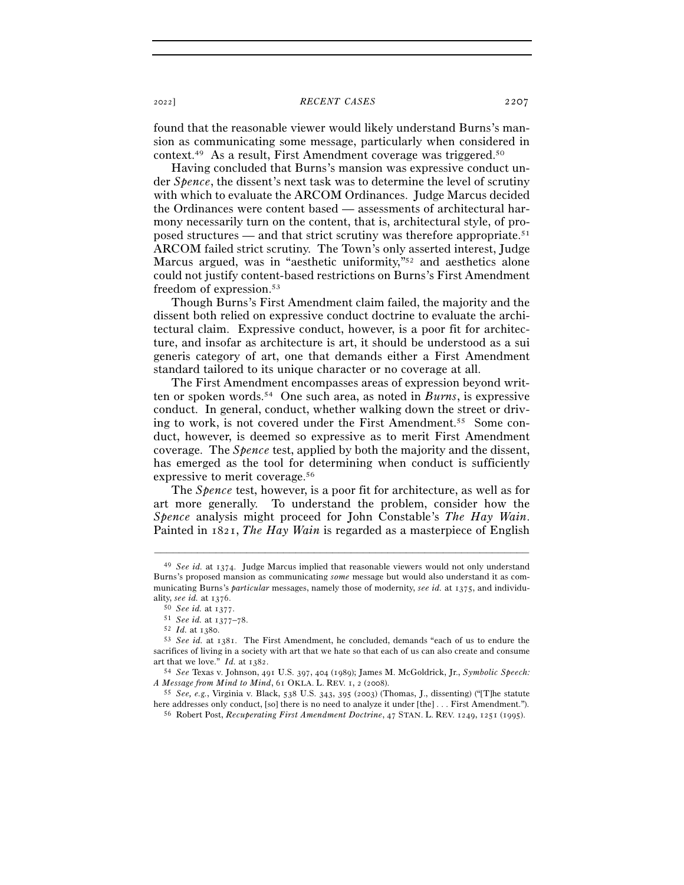## <sup>2022</sup>] *RECENT CASES* 2207

found that the reasonable viewer would likely understand Burns's mansion as communicating some message, particularly when considered in context.49 As a result, First Amendment coverage was triggered.50

Having concluded that Burns's mansion was expressive conduct under *Spence*, the dissent's next task was to determine the level of scrutiny with which to evaluate the ARCOM Ordinances. Judge Marcus decided the Ordinances were content based — assessments of architectural harmony necessarily turn on the content, that is, architectural style, of proposed structures — and that strict scrutiny was therefore appropriate.51 ARCOM failed strict scrutiny. The Town's only asserted interest, Judge Marcus argued, was in "aesthetic uniformity,"<sup>52</sup> and aesthetics alone could not justify content-based restrictions on Burns's First Amendment freedom of expression.53

Though Burns's First Amendment claim failed, the majority and the dissent both relied on expressive conduct doctrine to evaluate the architectural claim. Expressive conduct, however, is a poor fit for architecture, and insofar as architecture is art, it should be understood as a sui generis category of art, one that demands either a First Amendment standard tailored to its unique character or no coverage at all.

The First Amendment encompasses areas of expression beyond written or spoken words.54 One such area, as noted in *Burns*, is expressive conduct. In general, conduct, whether walking down the street or driving to work, is not covered under the First Amendment.55 Some conduct, however, is deemed so expressive as to merit First Amendment coverage. The *Spence* test, applied by both the majority and the dissent, has emerged as the tool for determining when conduct is sufficiently expressive to merit coverage.56

The *Spence* test, however, is a poor fit for architecture, as well as for art more generally. To understand the problem, consider how the *Spence* analysis might proceed for John Constable's *The Hay Wain*. Painted in 1821, *The Hay Wain* is regarded as a masterpiece of English

<sup>49</sup> *See id.* at 1374. Judge Marcus implied that reasonable viewers would not only understand Burns's proposed mansion as communicating *some* message but would also understand it as communicating Burns's *particular* messages, namely those of modernity, *see id.* at 1375, and individu-

ality, see id. at 1376.<br>  $50$  See id. at 1377.<br>  $51$  See id. at 1377–78.<br>  $52$  Id. at 1380.<br>  $53$  See id. at 1381. The First Amendment, he concluded, demands "each of us to endure the sacrifices of living in a society with art that we hate so that each of us can also create and consume art that we love." *Id.* at <sup>1382</sup>. 54 *See* Texas v. Johnson, 491 U.S. 397, 404 (1989); James M. McGoldrick, Jr., *Symbolic Speech:* 

*A Message from Mind to Mind*, 61 OKLA. L. REV. 1, 2 (<sup>2008</sup>). 55 *See, e.g.*, Virginia v. Black, 538 U.S. 343, 395 (2003) (Thomas, J., dissenting) ("[T]he statute

here addresses only conduct, [so] there is no need to analyze it under [the] . . . First Amendment."). 56 Robert Post, *Recuperating First Amendment Doctrine*, 47 STAN. L. REV. 1249, 1251 (1995).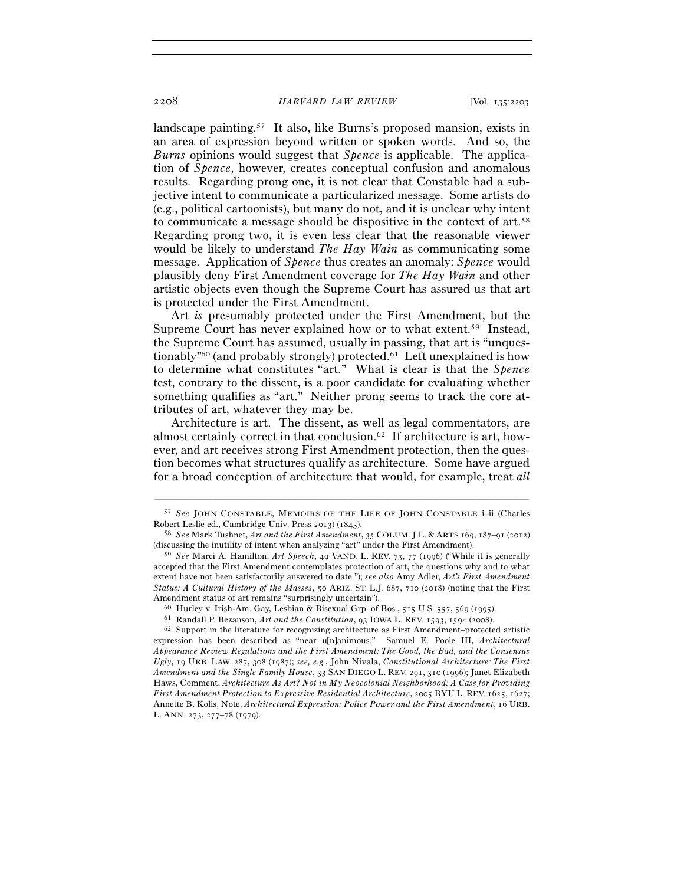landscape painting.57 It also, like Burns's proposed mansion, exists in an area of expression beyond written or spoken words. And so, the *Burns* opinions would suggest that *Spence* is applicable. The application of *Spence*, however, creates conceptual confusion and anomalous results. Regarding prong one, it is not clear that Constable had a subjective intent to communicate a particularized message. Some artists do (e.g., political cartoonists), but many do not, and it is unclear why intent to communicate a message should be dispositive in the context of art.58 Regarding prong two, it is even less clear that the reasonable viewer would be likely to understand *The Hay Wain* as communicating some message. Application of *Spence* thus creates an anomaly: *Spence* would plausibly deny First Amendment coverage for *The Hay Wain* and other artistic objects even though the Supreme Court has assured us that art is protected under the First Amendment.

Art *is* presumably protected under the First Amendment, but the Supreme Court has never explained how or to what extent.59 Instead, the Supreme Court has assumed, usually in passing, that art is "unquestionably"60 (and probably strongly) protected.61 Left unexplained is how to determine what constitutes "art." What is clear is that the *Spence* test, contrary to the dissent, is a poor candidate for evaluating whether something qualifies as "art." Neither prong seems to track the core attributes of art, whatever they may be.

Architecture is art. The dissent, as well as legal commentators, are almost certainly correct in that conclusion.62 If architecture is art, however, and art receives strong First Amendment protection, then the question becomes what structures qualify as architecture. Some have argued for a broad conception of architecture that would, for example, treat *all*

<sup>–––––––––––––––––––––––––––––––––––––––––––––––––––––––––––––</sup> 57 *See* JOHN CONSTABLE, MEMOIRS OF THE LIFE OF JOHN CONSTABLE i–ii (Charles Robert Leslie ed., Cambridge Univ. Press 2013) (<sup>1843</sup>). 58 *See* Mark Tushnet, *Art and the First Amendment*, 35 COLUM. J.L. & ARTS <sup>169</sup>, 187–91 (2012)

<sup>(</sup>discussing the inutility of intent when analyzing "art" under the First Amendment).

<sup>59</sup> *See* Marci A. Hamilton, *Art Speech*, 49 VAND. L. REV. 73, 77 (1996) ("While it is generally accepted that the First Amendment contemplates protection of art, the questions why and to what extent have not been satisfactorily answered to date."); *see also* Amy Adler, *Art's First Amendment Status: A Cultural History of the Masses*, 50 ARIZ. ST. L.J. 687, 710 (2018) (noting that the First Amendment status of art remains "surprisingly uncertain").<br>
<sup>60</sup> Hurley v. Irish-Am. Gay, Lesbian & Bisexual Grp. of Bos., 515 U.S. 557, 569 (1995).<br>
<sup>61</sup> Randall P. Bezanson, *Art and the Constitution*, 93 IOWA L. REV. 1

expression has been described as "near u[n]animous." Samuel E. Poole III, *Architectural Appearance Review Regulations and the First Amendment: The Good, the Bad, and the Consensus Ugly*, 19 URB. LAW. 287, 308 (1987); *see, e.g.*, John Nivala, *Constitutional Architecture: The First Amendment and the Single Family House*, 33 SAN DIEGO L. REV. 291, 310 (1996); Janet Elizabeth Haws, Comment, *Architecture As Art? Not in My Neocolonial Neighborhood: A Case for Providing First Amendment Protection to Expressive Residential Architecture*, 2005 BYU L. REV. 1625, 1627; Annette B. Kolis, Note, *Architectural Expression: Police Power and the First Amendment*, 16 URB. L. ANN. 273, 277–78 (1979).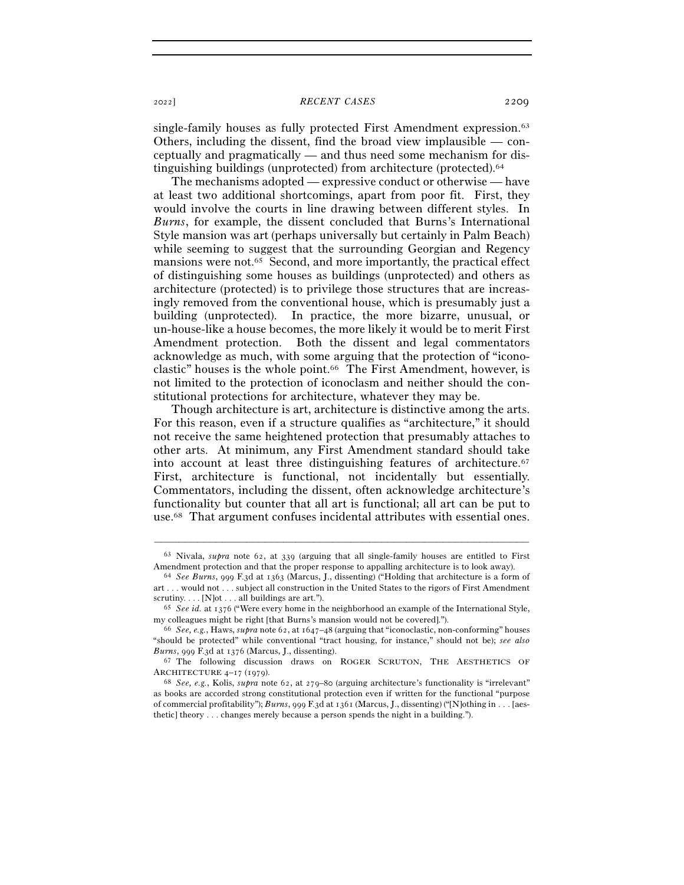<sup>2022</sup>] *RECENT CASES* 2209

single-family houses as fully protected First Amendment expression.<sup>63</sup> Others, including the dissent, find the broad view implausible  $-$  conceptually and pragmatically — and thus need some mechanism for distinguishing buildings (unprotected) from architecture (protected).64

The mechanisms adopted — expressive conduct or otherwise — have at least two additional shortcomings, apart from poor fit. First, they would involve the courts in line drawing between different styles. In *Burns*, for example, the dissent concluded that Burns's International Style mansion was art (perhaps universally but certainly in Palm Beach) while seeming to suggest that the surrounding Georgian and Regency mansions were not.65 Second, and more importantly, the practical effect of distinguishing some houses as buildings (unprotected) and others as architecture (protected) is to privilege those structures that are increasingly removed from the conventional house, which is presumably just a building (unprotected). In practice, the more bizarre, unusual, or un-house-like a house becomes, the more likely it would be to merit First Amendment protection. Both the dissent and legal commentators acknowledge as much, with some arguing that the protection of "iconoclastic" houses is the whole point.<sup>66</sup> The First Amendment, however, is not limited to the protection of iconoclasm and neither should the constitutional protections for architecture, whatever they may be.

Though architecture is art, architecture is distinctive among the arts. For this reason, even if a structure qualifies as "architecture," it should not receive the same heightened protection that presumably attaches to other arts. At minimum, any First Amendment standard should take into account at least three distinguishing features of architecture.67 First, architecture is functional, not incidentally but essentially. Commentators, including the dissent, often acknowledge architecture's functionality but counter that all art is functional; all art can be put to use.68 That argument confuses incidental attributes with essential ones.

<sup>–––––––––––––––––––––––––––––––––––––––––––––––––––––––––––––</sup> <sup>63</sup> Nivala, *supra* note 62, at 339 (arguing that all single-family houses are entitled to First Amendment protection and that the proper response to appalling architecture is to look away). 64 *See Burns*, 999 F.3d at 1363 (Marcus, J., dissenting) ("Holding that architecture is a form of

art . . . would not . . . subject all construction in the United States to the rigors of First Amendment scrutiny. . . . [N]ot . . . all buildings are art."). 65 *See id.* at 1376 ("Were every home in the neighborhood an example of the International Style,

my colleagues might be right [that Burns's mansion would not be covered]."). 66 *See, e.g.*, Haws, *supra* note 62, at 1647–48 (arguing that "iconoclastic, non-conforming" houses

<sup>&</sup>quot;should be protected" while conventional "tract housing, for instance," should not be); *see also Burns*, 999 F.3d at 1376 (Marcus, J., dissenting).<br><sup>67</sup> The following discussion draws on ROGER SCRUTON, THE AESTHETICS OF

ARCHITECTURE 4–17 (1979).<br><sup>68</sup> *See, e.g.*, Kolis, *supra* note 62, at 279–80 (arguing architecture's functionality is "irrelevant"

as books are accorded strong constitutional protection even if written for the functional "purpose of commercial profitability"); *Burns*, 999 F.3d at 1361 (Marcus, J., dissenting) ("[N]othing in . . . [aesthetic] theory . . . changes merely because a person spends the night in a building.").